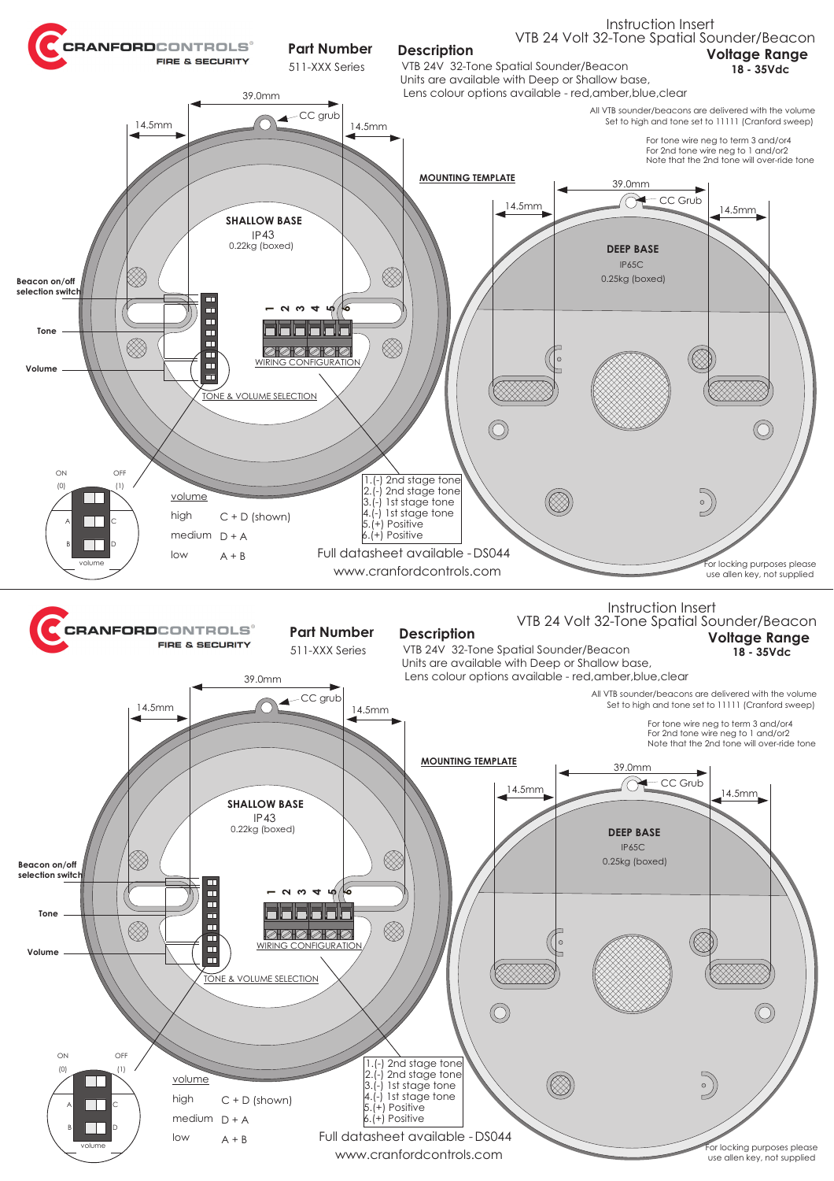